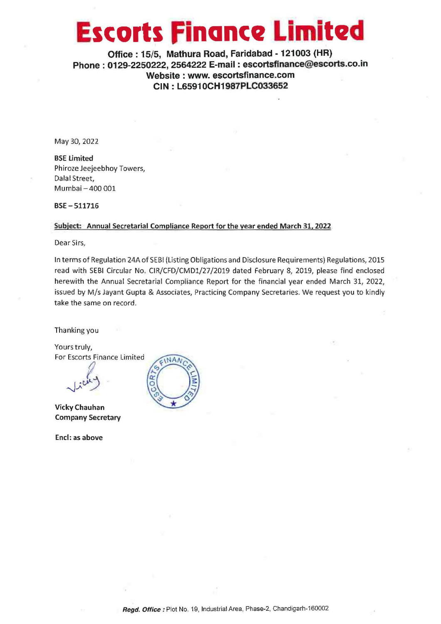## **Escorts finance Limited**

**Office: 15/5, Mathura Road, Faridabad - 121003 (HR) Phone : 0129-2250222, 2564222 E-mail : escortsfinance@escorts.co.in Website : www. escortsfinance.com CIN: L65910CH1987PLCO33652** 

May 30, 2022

**BSE Limited**  Phiroze Jeejeebhoy Towers, Dalal Street, Mumbai -400 001

**BSE-511716** 

## **Subject: Annual Secretarial Compliance Report for the vear ended March 31. 2022**

Dear Sirs,

In terms of Regulation 24A of SEBI (Listing Obligations and Disclosure Requirements) Regulations, 2015 read with SEBI Circular **No.** CIR/CFD/CMDl/27 /2019 dated February 8, 2019, please find enclosed herewith the Annual Secretarial Compliance Report for the financial year ended March 31, 2022, issued by M/s Jayant Gupta & Associates, Practicing Company Secretaries. We request you to kindly take the same on record.

Thanking you

Yours truly, For Escorts Finance Limited

f  $\mathcal{L}^{\mu\nu}$ 

**Vicky Chauhan Company Secretary** 

**Encl: as above** 

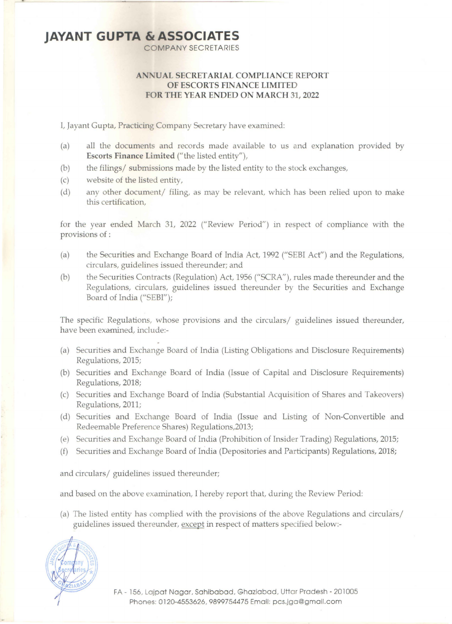## **JAYANT GUPTA & ASSOCIATES**

- ·

COMPANY SECRETARIES

## **AN UAL SECRETARIAL COMPLIANCE REPORT OF ESCORTS FINANCE LIMITED FOR THE YEAR ENDED ON MARCH 31, 2022**

I, Jayant Gupta, Practicing Company Secretary have examined:

- (a) all the documents and records made available to us and explanation provided by **Escorts Finance Limited** ("the listed entity"),
- (b) the filings/ submissions made by the listed entity to the stock exchanges,
- (c) website of the listed entity,
- (d) any other document/ filing, as may be relevant, which has been relied upon to make this certification,

for the year ended March 31, 2022 ("Review Period") in respect of compliance with the provisions of :

- (a) the Securities and Exchange Board of India Act, 1992 ("SEBI Act") and the Regulations, circulars, guidelines issued thereunder; and
- (b) the Securities Contracts (Regulation) Act, 1956 ("SCRA"), rules made thereunder and the Regulations, circulars, guidelines issued thereunder by the Securities and Exchange Board of India ("SEBI");

The specific Regulations, whose provisions and the circulars/ guidelines issued thereunder, have been examined, include:-

- (a) Securities and Exchange Board of India (Listing Obligations and Disclosure Requirements) Regulations, 2015;
- (b) Securities and Exchange Board of India (Issue of Capital and Disclosure Requirements) Regulations, 2018;
- (c) Securities and Exchange Board of India (Substantial Acquisition of Shares and Takeovers) Regulations, 2011;
- (d) Securities and Exchange Board of India (Issue and Listing of Non-Convertible and Redeemable Preference Shares) Regulations,2013;
- (e) Securities and Exchange Board of India (Prohibition of Insider Trading) Regulations, 2015;
- (f) Securities and Exchange Board of India (Depositories and Participants) Regulations, 2018;

and circulars/ guidelines issued thereunder;

and based on the above examination, I hereby report that, during the Review Period:

(a) The listed entity has complied with the provisions of the above Regulations and circulars/ guidelines issued thereunder, except in respect of matters specified below:-

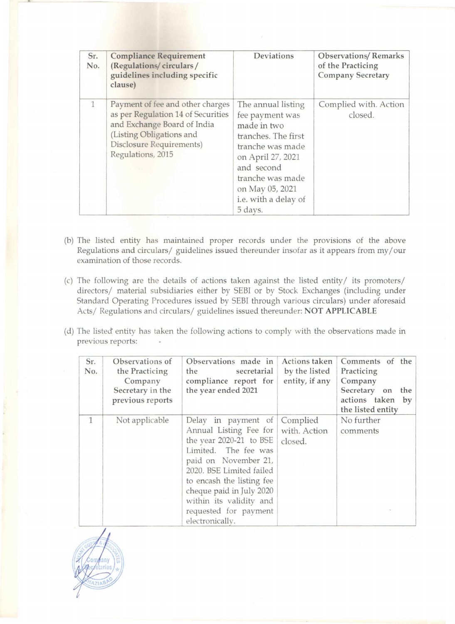| Sr.<br>No.   | <b>Compliance Requirement</b><br>(Regulations/circulars/<br>guidelines including specific<br>clause)                                                                               | Deviations                                                                                                                                                                                                   | <b>Observations/Remarks</b><br>of the Practicing<br><b>Company Secretary</b> |
|--------------|------------------------------------------------------------------------------------------------------------------------------------------------------------------------------------|--------------------------------------------------------------------------------------------------------------------------------------------------------------------------------------------------------------|------------------------------------------------------------------------------|
| $\mathbf{1}$ | Payment of fee and other charges<br>as per Regulation 14 of Securities<br>and Exchange Board of India<br>(Listing Obligations and<br>Disclosure Requirements)<br>Regulations, 2015 | The annual listing<br>fee payment was<br>made in two<br>tranches. The first<br>tranche was made<br>on April 27, 2021<br>and second<br>tranche was made<br>on May 05, 2021<br>i.e. with a delay of<br>5 days. | Complied with. Action<br>closed.                                             |

- (b) The listed entity has maintained proper records under the provisions of the above Regulations and circulars/ guidelines issued thereunder insofar as it appears from my/ our examination of those records.
- (c) The following are the details of actions taken against the listed entity/ its promoters/ directors/ material subsidiaries either by SEBI or by Stock Exchanges (including under Standard Operating Procedures issued by SEBI through various circulars) under aforesaid Acts/ Regulations and circulars/ guidelines issued thereunder: **NOT APPLICABLE**
- (d) The listed entity has taken the following actions to comply with the observations made in previous reports:

| Sr.<br>No.   | Observations of<br>the Practicing<br>Company<br>Secretary in the<br>previous reports | Observations made in<br>the<br>secretarial<br>compliance report for<br>the year ended 2021                                                                                                                                                                                             | Actions taken<br>by the listed<br>entity, if any | Comments of the<br>Practicing<br>Company<br>Secretary on<br>the<br>actions taken<br>by<br>the listed entity |
|--------------|--------------------------------------------------------------------------------------|----------------------------------------------------------------------------------------------------------------------------------------------------------------------------------------------------------------------------------------------------------------------------------------|--------------------------------------------------|-------------------------------------------------------------------------------------------------------------|
| $\mathbf{1}$ | Not applicable                                                                       | Delay in payment of<br>Annual Listing Fee for<br>the year $2020-21$ to BSE<br>Limited. The fee was<br>paid on November 21,<br>2020. BSE Limited failed<br>to encash the listing fee<br>cheque paid in July 2020<br>within its validity and<br>requested for payment<br>electronically. | Complied<br>with. Action<br>closed.              | No further<br>comments                                                                                      |